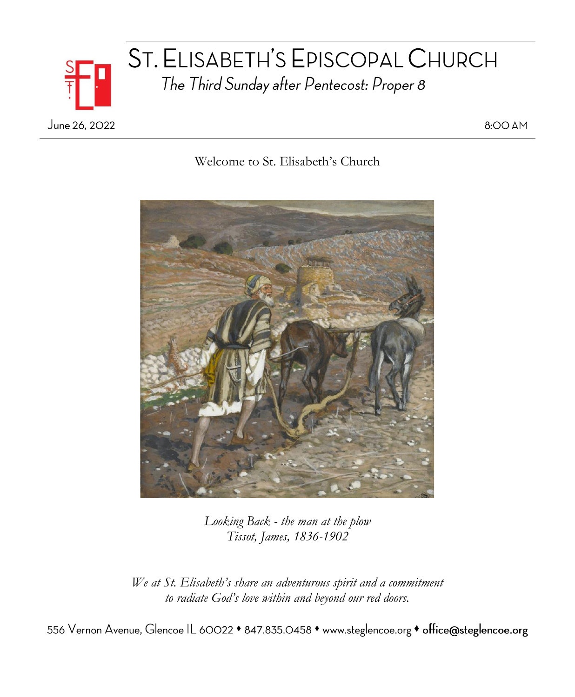

# ST. ELISABETH'S EPISCOPAL CHURCH The Third Sunday after Pentecost: Proper 8

8:00 AM

Welcome to St. Elisabeth's Church



*Looking Back - the man at the plow Tissot, James, 1836-1902*

*We at St. Elisabeth's share an adventurous spirit and a commitment to radiate God's love within and beyond our red doors.*

556 Vernon Avenue, Glencoe IL 60022 • 847.835.0458 • www.steglencoe.org • office@steglencoe.org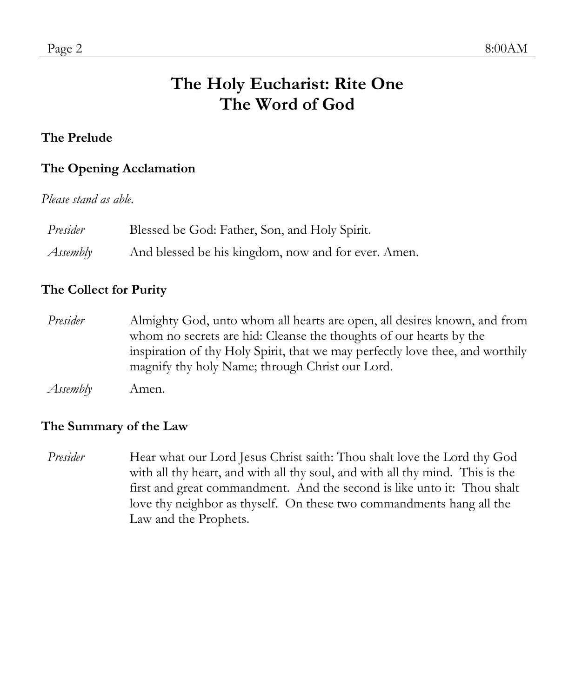## **The Holy Eucharist: Rite One The Word of God**

#### **The Prelude**

#### **The Opening Acclamation**

*Please stand as able.*

| Presider | Blessed be God: Father, Son, and Holy Spirit.       |
|----------|-----------------------------------------------------|
| Assembly | And blessed be his kingdom, now and for ever. Amen. |

#### **The Collect for Purity**

*Presider* Almighty God, unto whom all hearts are open, all desires known, and from whom no secrets are hid: Cleanse the thoughts of our hearts by the inspiration of thy Holy Spirit, that we may perfectly love thee, and worthily magnify thy holy Name; through Christ our Lord.

*Assembly* Amen.

#### **The Summary of the Law**

*Presider* Hear what our Lord Jesus Christ saith: Thou shalt love the Lord thy God with all thy heart, and with all thy soul, and with all thy mind. This is the first and great commandment. And the second is like unto it: Thou shalt love thy neighbor as thyself. On these two commandments hang all the Law and the Prophets.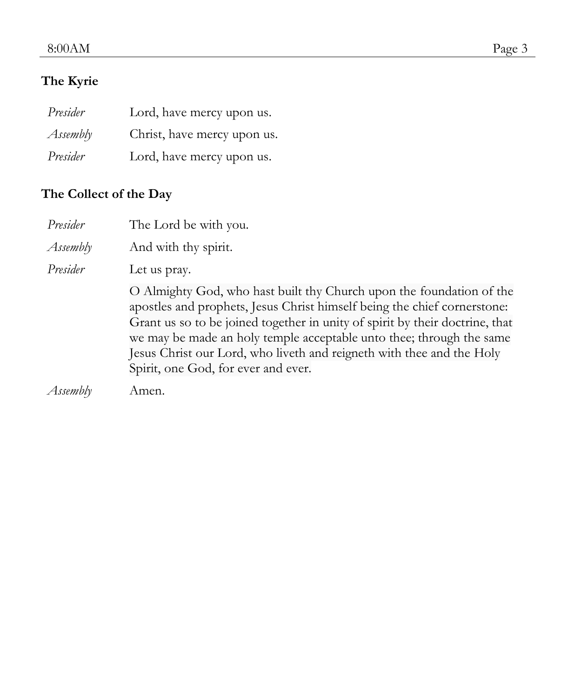#### 8:00AM Page 3

### **The Kyrie**

| Presider | Lord, have mercy upon us.   |
|----------|-----------------------------|
| Assembly | Christ, have mercy upon us. |
| Presider | Lord, have mercy upon us.   |

## **The Collect of the Day**

| Presider | The Lord be with you.                                                                                                                                                                                                                                                                                                                                                                                                    |
|----------|--------------------------------------------------------------------------------------------------------------------------------------------------------------------------------------------------------------------------------------------------------------------------------------------------------------------------------------------------------------------------------------------------------------------------|
| Assembly | And with thy spirit.                                                                                                                                                                                                                                                                                                                                                                                                     |
| Presider | Let us pray.                                                                                                                                                                                                                                                                                                                                                                                                             |
|          | O Almighty God, who hast built thy Church upon the foundation of the<br>apostles and prophets, Jesus Christ himself being the chief cornerstone:<br>Grant us so to be joined together in unity of spirit by their doctrine, that<br>we may be made an holy temple acceptable unto thee; through the same<br>Jesus Christ our Lord, who liveth and reigneth with thee and the Holy<br>Spirit, one God, for ever and ever. |
| Assembly | Amen.                                                                                                                                                                                                                                                                                                                                                                                                                    |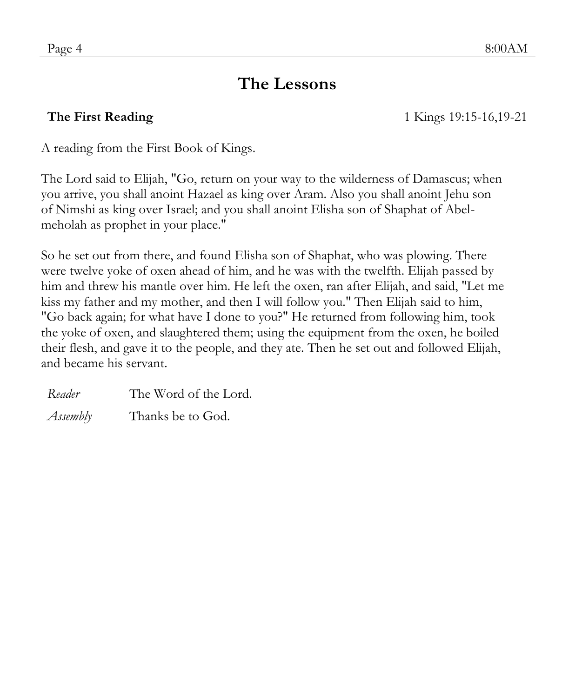## **The Lessons**

**The First Reading** 1 Kings 19:15-16,19-21

A reading from the First Book of Kings.

The Lord said to Elijah, "Go, return on your way to the wilderness of Damascus; when you arrive, you shall anoint Hazael as king over Aram. Also you shall anoint Jehu son of Nimshi as king over Israel; and you shall anoint Elisha son of Shaphat of Abelmeholah as prophet in your place."

So he set out from there, and found Elisha son of Shaphat, who was plowing. There were twelve yoke of oxen ahead of him, and he was with the twelfth. Elijah passed by him and threw his mantle over him. He left the oxen, ran after Elijah, and said, "Let me kiss my father and my mother, and then I will follow you." Then Elijah said to him, "Go back again; for what have I done to you?" He returned from following him, took the yoke of oxen, and slaughtered them; using the equipment from the oxen, he boiled their flesh, and gave it to the people, and they ate. Then he set out and followed Elijah, and became his servant.

*Reader* The Word of the Lord. *Assembly* Thanks be to God.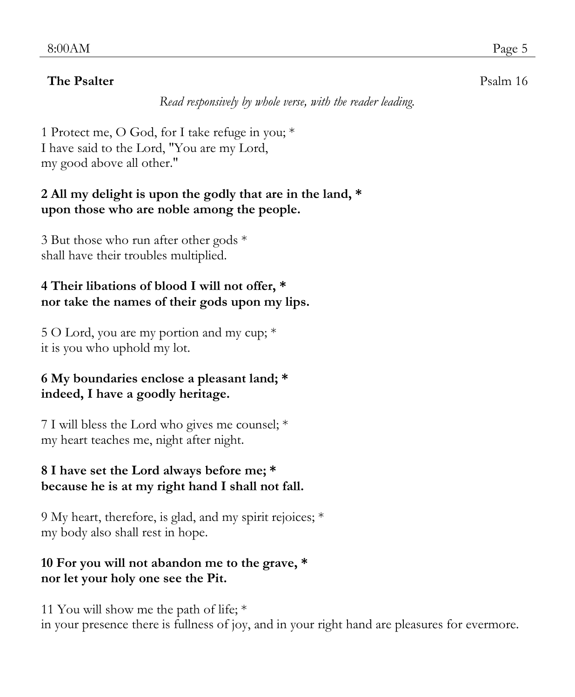#### **The Psalter** Psalm 16

*Read responsively by whole verse, with the reader leading.*

1 Protect me, O God, for I take refuge in you; \* I have said to the Lord, "You are my Lord, my good above all other."

#### **2 All my delight is upon the godly that are in the land, \* upon those who are noble among the people.**

3 But those who run after other gods \* shall have their troubles multiplied.

### **4 Their libations of blood I will not offer, \* nor take the names of their gods upon my lips.**

5 O Lord, you are my portion and my cup; \* it is you who uphold my lot.

#### **6 My boundaries enclose a pleasant land; \* indeed, I have a goodly heritage.**

7 I will bless the Lord who gives me counsel; \* my heart teaches me, night after night.

#### **8 I have set the Lord always before me; \* because he is at my right hand I shall not fall.**

9 My heart, therefore, is glad, and my spirit rejoices; \* my body also shall rest in hope.

### **10 For you will not abandon me to the grave, \* nor let your holy one see the Pit.**

11 You will show me the path of life; \* in your presence there is fullness of joy, and in your right hand are pleasures for evermore.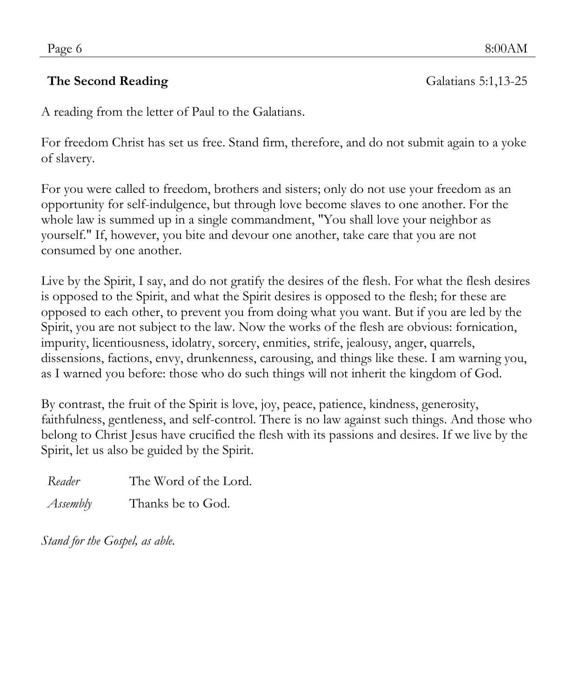#### **The Second Reading** Galatians 5:1,13-25

A reading from the letter of Paul to the Galatians.

For freedom Christ has set us free. Stand firm, therefore, and do not submit again to a yoke of slavery.

For you were called to freedom, brothers and sisters; only do not use your freedom as an opportunity for self-indulgence, but through love become slaves to one another. For the whole law is summed up in a single commandment, "You shall love your neighbor as yourself." If, however, you bite and devour one another, take care that you are not consumed by one another.

Live by the Spirit, I say, and do not gratify the desires of the flesh. For what the flesh desires is opposed to the Spirit, and what the Spirit desires is opposed to the flesh; for these are opposed to each other, to prevent you from doing what you want. But if you are led by the Spirit, you are not subject to the law. Now the works of the flesh are obvious: fornication, impurity, licentiousness, idolatry, sorcery, enmities, strife, jealousy, anger, quarrels, dissensions, factions, envy, drunkenness, carousing, and things like these. I am warning you, as I warned you before: those who do such things will not inherit the kingdom of God.

By contrast, the fruit of the Spirit is love, joy, peace, patience, kindness, generosity, faithfulness, gentleness, and self-control. There is no law against such things. And those who belong to Christ Jesus have crucified the flesh with its passions and desires. If we live by the Spirit, let us also be guided by the Spirit.

*Reader* The Word of the Lord.

*Assembly* Thanks be to God.

*Stand for the Gospel, as able.*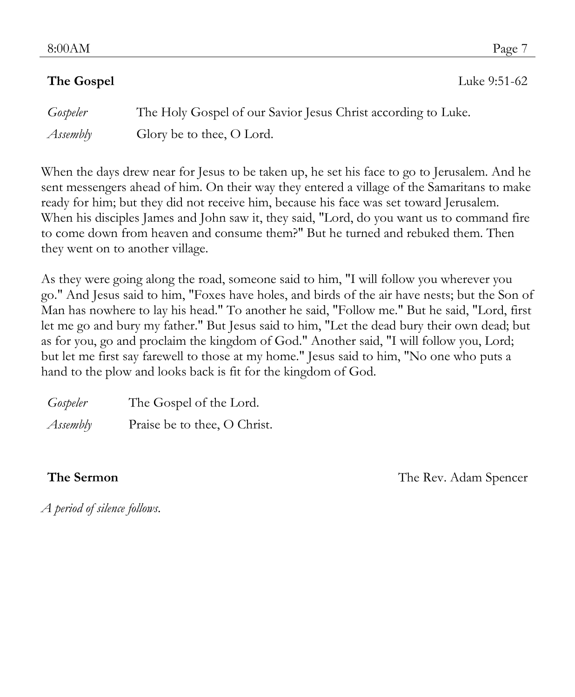**The Gospel** Luke 9:51-62

| Gospeler | The Holy Gospel of our Savior Jesus Christ according to Luke. |
|----------|---------------------------------------------------------------|
| Assembly | Glory be to thee, O Lord.                                     |

When the days drew near for Jesus to be taken up, he set his face to go to Jerusalem. And he sent messengers ahead of him. On their way they entered a village of the Samaritans to make ready for him; but they did not receive him, because his face was set toward Jerusalem. When his disciples James and John saw it, they said, "Lord, do you want us to command fire to come down from heaven and consume them?" But he turned and rebuked them. Then they went on to another village.

As they were going along the road, someone said to him, "I will follow you wherever you go." And Jesus said to him, "Foxes have holes, and birds of the air have nests; but the Son of Man has nowhere to lay his head." To another he said, "Follow me." But he said, "Lord, first let me go and bury my father." But Jesus said to him, "Let the dead bury their own dead; but as for you, go and proclaim the kingdom of God." Another said, "I will follow you, Lord; but let me first say farewell to those at my home." Jesus said to him, "No one who puts a hand to the plow and looks back is fit for the kingdom of God.

| Gospeler | The Gospel of the Lord.      |
|----------|------------------------------|
| Assembly | Praise be to thee, O Christ. |

**The Sermon** The Nev. Adam Spencer

*A period of silence follows.*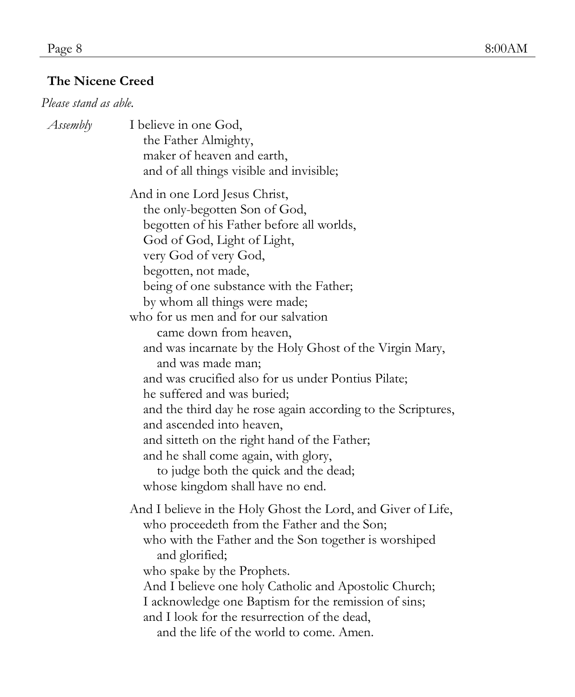### **The Nicene Creed**

#### *Please stand as able.*

| I believe in one God,<br>the Father Almighty,<br>maker of heaven and earth,<br>and of all things visible and invisible;                                                                                                                                                                                                                                                                                                           |
|-----------------------------------------------------------------------------------------------------------------------------------------------------------------------------------------------------------------------------------------------------------------------------------------------------------------------------------------------------------------------------------------------------------------------------------|
| And in one Lord Jesus Christ,<br>the only-begotten Son of God,<br>begotten of his Father before all worlds,<br>God of God, Light of Light,<br>very God of very God,<br>begotten, not made,<br>being of one substance with the Father;<br>by whom all things were made;<br>who for us men and for our salvation<br>came down from heaven,<br>and was incarnate by the Holy Ghost of the Virgin Mary,                               |
| and was made man;<br>and was crucified also for us under Pontius Pilate;<br>he suffered and was buried;<br>and the third day he rose again according to the Scriptures,<br>and ascended into heaven,<br>and sitteth on the right hand of the Father;<br>and he shall come again, with glory,<br>to judge both the quick and the dead;<br>whose kingdom shall have no end.                                                         |
| And I believe in the Holy Ghost the Lord, and Giver of Life,<br>who proceedeth from the Father and the Son;<br>who with the Father and the Son together is worshiped<br>and glorified;<br>who spake by the Prophets.<br>And I believe one holy Catholic and Apostolic Church;<br>I acknowledge one Baptism for the remission of sins;<br>and I look for the resurrection of the dead,<br>and the life of the world to come. Amen. |
|                                                                                                                                                                                                                                                                                                                                                                                                                                   |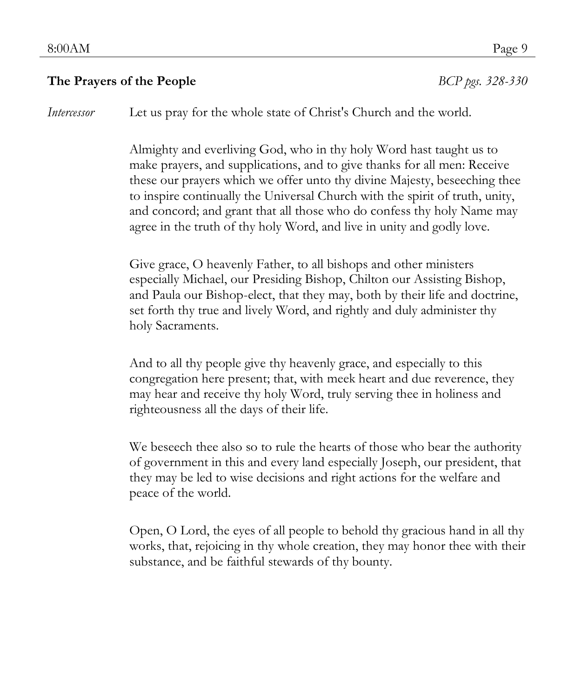#### **The Prayers of the People** *BCP pgs. 328-330*

*Intercessor* Let us pray for the whole state of Christ's Church and the world.

Almighty and everliving God, who in thy holy Word hast taught us to make prayers, and supplications, and to give thanks for all men: Receive these our prayers which we offer unto thy divine Majesty, beseeching thee to inspire continually the Universal Church with the spirit of truth, unity, and concord; and grant that all those who do confess thy holy Name may agree in the truth of thy holy Word, and live in unity and godly love.

Give grace, O heavenly Father, to all bishops and other ministers especially Michael, our Presiding Bishop, Chilton our Assisting Bishop, and Paula our Bishop-elect, that they may, both by their life and doctrine, set forth thy true and lively Word, and rightly and duly administer thy holy Sacraments.

And to all thy people give thy heavenly grace, and especially to this congregation here present; that, with meek heart and due reverence, they may hear and receive thy holy Word, truly serving thee in holiness and righteousness all the days of their life.

We beseech thee also so to rule the hearts of those who bear the authority of government in this and every land especially Joseph, our president, that they may be led to wise decisions and right actions for the welfare and peace of the world.

Open, O Lord, the eyes of all people to behold thy gracious hand in all thy works, that, rejoicing in thy whole creation, they may honor thee with their substance, and be faithful stewards of thy bounty.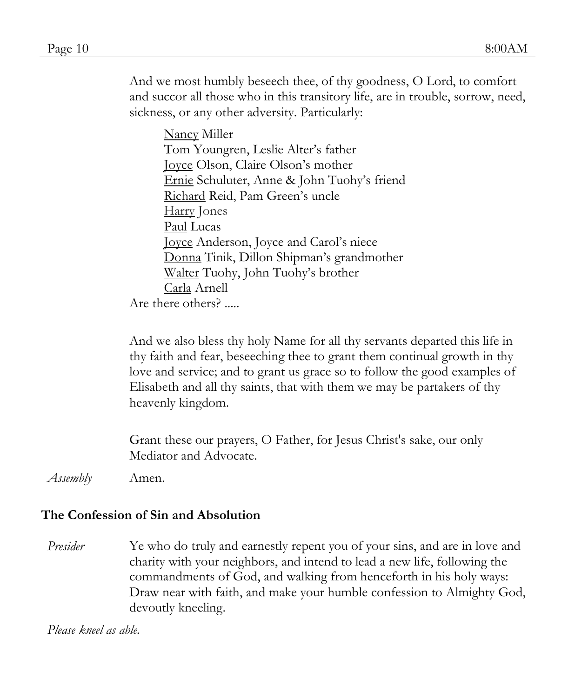And we most humbly beseech thee, of thy goodness, O Lord, to comfort and succor all those who in this transitory life, are in trouble, sorrow, need, sickness, or any other adversity. Particularly:

Nancy Miller Tom Youngren, Leslie Alter's father Joyce Olson, Claire Olson's mother Ernie Schuluter, Anne & John Tuohy's friend Richard Reid, Pam Green's uncle Harry Jones Paul Lucas Joyce Anderson, Joyce and Carol's niece Donna Tinik, Dillon Shipman's grandmother Walter Tuohy, John Tuohy's brother Carla Arnell Are there others? .....

And we also bless thy holy Name for all thy servants departed this life in thy faith and fear, beseeching thee to grant them continual growth in thy love and service; and to grant us grace so to follow the good examples of Elisabeth and all thy saints, that with them we may be partakers of thy heavenly kingdom.

Grant these our prayers, O Father, for Jesus Christ's sake, our only Mediator and Advocate.

*Assembly* Amen.

#### **The Confession of Sin and Absolution**

*Presider* Ye who do truly and earnestly repent you of your sins, and are in love and charity with your neighbors, and intend to lead a new life, following the commandments of God, and walking from henceforth in his holy ways: Draw near with faith, and make your humble confession to Almighty God, devoutly kneeling.

*Please kneel as able.*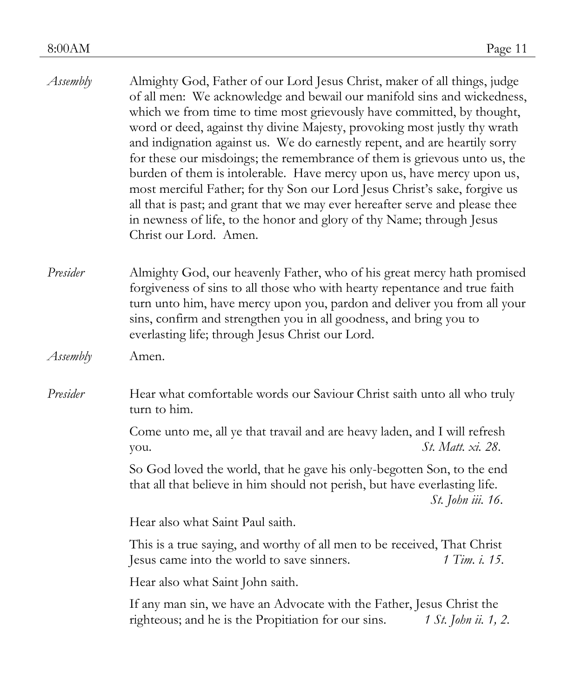| Assembly | Almighty God, Father of our Lord Jesus Christ, maker of all things, judge<br>of all men: We acknowledge and bewail our manifold sins and wickedness,<br>which we from time to time most grievously have committed, by thought,<br>word or deed, against thy divine Majesty, provoking most justly thy wrath<br>and indignation against us. We do earnestly repent, and are heartily sorry<br>for these our misdoings; the remembrance of them is grievous unto us, the<br>burden of them is intolerable. Have mercy upon us, have mercy upon us,<br>most merciful Father; for thy Son our Lord Jesus Christ's sake, forgive us<br>all that is past; and grant that we may ever hereafter serve and please thee<br>in newness of life, to the honor and glory of thy Name; through Jesus<br>Christ our Lord. Amen. |
|----------|-------------------------------------------------------------------------------------------------------------------------------------------------------------------------------------------------------------------------------------------------------------------------------------------------------------------------------------------------------------------------------------------------------------------------------------------------------------------------------------------------------------------------------------------------------------------------------------------------------------------------------------------------------------------------------------------------------------------------------------------------------------------------------------------------------------------|
| Presider | Almighty God, our heavenly Father, who of his great mercy hath promised<br>forgiveness of sins to all those who with hearty repentance and true faith<br>turn unto him, have mercy upon you, pardon and deliver you from all your<br>sins, confirm and strengthen you in all goodness, and bring you to<br>everlasting life; through Jesus Christ our Lord.                                                                                                                                                                                                                                                                                                                                                                                                                                                       |
| Assembly | Amen.                                                                                                                                                                                                                                                                                                                                                                                                                                                                                                                                                                                                                                                                                                                                                                                                             |
| Presider | Hear what comfortable words our Saviour Christ saith unto all who truly<br>turn to him.                                                                                                                                                                                                                                                                                                                                                                                                                                                                                                                                                                                                                                                                                                                           |
|          | Come unto me, all ye that travail and are heavy laden, and I will refresh<br>St. Matt. xi. 28.<br>you.                                                                                                                                                                                                                                                                                                                                                                                                                                                                                                                                                                                                                                                                                                            |
|          | So God loved the world, that he gave his only-begotten Son, to the end<br>that all that believe in him should not perish, but have everlasting life.<br>St. John iii. 16.                                                                                                                                                                                                                                                                                                                                                                                                                                                                                                                                                                                                                                         |
|          | Hear also what Saint Paul saith.                                                                                                                                                                                                                                                                                                                                                                                                                                                                                                                                                                                                                                                                                                                                                                                  |
|          | This is a true saying, and worthy of all men to be received, That Christ<br>1 Tim. i. 15.<br>Jesus came into the world to save sinners.                                                                                                                                                                                                                                                                                                                                                                                                                                                                                                                                                                                                                                                                           |
|          | Hear also what Saint John saith.                                                                                                                                                                                                                                                                                                                                                                                                                                                                                                                                                                                                                                                                                                                                                                                  |
|          | If any man sin, we have an Advocate with the Father, Jesus Christ the<br>righteous; and he is the Propitiation for our sins.<br>1 St. John ii. 1, 2.                                                                                                                                                                                                                                                                                                                                                                                                                                                                                                                                                                                                                                                              |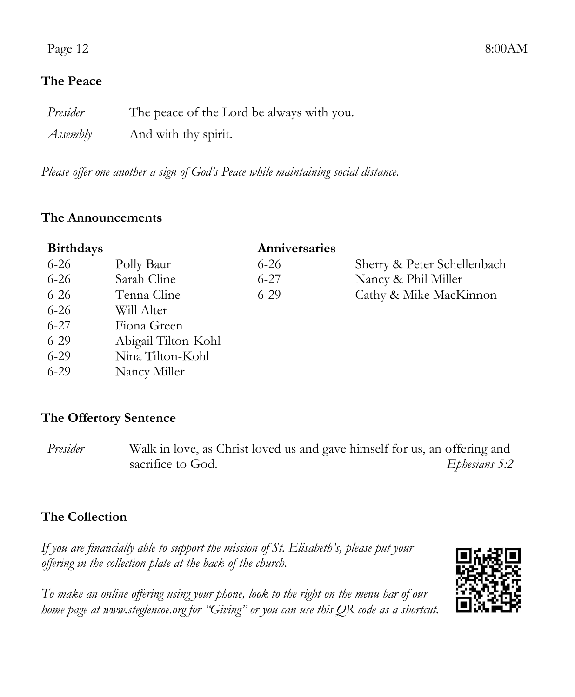#### **The Peace**

| Presider | The peace of the Lord be always with you. |
|----------|-------------------------------------------|
| Assembly | And with thy spirit.                      |

*Please offer one another a sign of God's Peace while maintaining social distance.*

#### **The Announcements**

| <b>Birthdays</b> |                     | Anniversaries |                             |
|------------------|---------------------|---------------|-----------------------------|
| $6 - 26$         | Polly Baur          | $6 - 26$      | Sherry & Peter Schellenbach |
| $6 - 26$         | Sarah Cline         | $6 - 27$      | Nancy & Phil Miller         |
| 6-26             | Tenna Cline         | $6 - 29$      | Cathy & Mike MacKinnon      |
| $6 - 26$         | Will Alter          |               |                             |
| $6 - 27$         | Fiona Green         |               |                             |
| 6-29             | Abigail Tilton-Kohl |               |                             |
| $6-29$           | Nina Tilton-Kohl    |               |                             |
| 6-29             | Nancy Miller        |               |                             |

#### **The Offertory Sentence**

*Presider* Walk in love, as Christ loved us and gave himself for us, an offering and sacrifice to God. *Ephesians 5:2* 

### **The Collection**

*If you are financially able to support the mission of St. Elisabeth's, please put your offering in the collection plate at the back of the church.*

*To make an online offering using your phone, look to the right on the menu bar of our home page at www.steglencoe.org for "Giving" or you can use this QR code as a shortcut.*

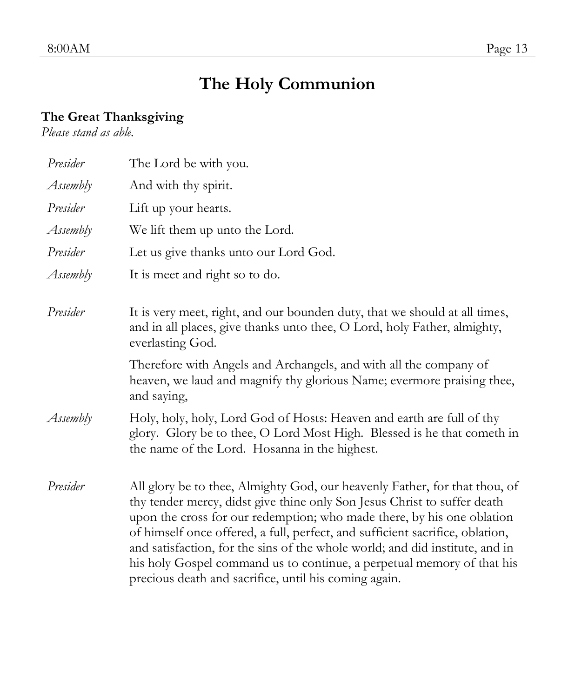#### 8:00AM Page 13

# **The Holy Communion**

#### **The Great Thanksgiving**

*Please stand as able.*

| Presider | The Lord be with you.                                                                                                                                                                                                                                                                                                                                                                                                                                                                                                                |
|----------|--------------------------------------------------------------------------------------------------------------------------------------------------------------------------------------------------------------------------------------------------------------------------------------------------------------------------------------------------------------------------------------------------------------------------------------------------------------------------------------------------------------------------------------|
| Assembly | And with thy spirit.                                                                                                                                                                                                                                                                                                                                                                                                                                                                                                                 |
| Presider | Lift up your hearts.                                                                                                                                                                                                                                                                                                                                                                                                                                                                                                                 |
| Assembly | We lift them up unto the Lord.                                                                                                                                                                                                                                                                                                                                                                                                                                                                                                       |
| Presider | Let us give thanks unto our Lord God.                                                                                                                                                                                                                                                                                                                                                                                                                                                                                                |
| Assembly | It is meet and right so to do.                                                                                                                                                                                                                                                                                                                                                                                                                                                                                                       |
| Presider | It is very meet, right, and our bounden duty, that we should at all times,<br>and in all places, give thanks unto thee, O Lord, holy Father, almighty,<br>everlasting God.                                                                                                                                                                                                                                                                                                                                                           |
|          | Therefore with Angels and Archangels, and with all the company of<br>heaven, we laud and magnify thy glorious Name; evermore praising thee,<br>and saying,                                                                                                                                                                                                                                                                                                                                                                           |
| Assembly | Holy, holy, holy, Lord God of Hosts: Heaven and earth are full of thy<br>glory. Glory be to thee, O Lord Most High. Blessed is he that cometh in<br>the name of the Lord. Hosanna in the highest.                                                                                                                                                                                                                                                                                                                                    |
| Presider | All glory be to thee, Almighty God, our heavenly Father, for that thou, of<br>thy tender mercy, didst give thine only Son Jesus Christ to suffer death<br>upon the cross for our redemption; who made there, by his one oblation<br>of himself once offered, a full, perfect, and sufficient sacrifice, oblation,<br>and satisfaction, for the sins of the whole world; and did institute, and in<br>his holy Gospel command us to continue, a perpetual memory of that his<br>precious death and sacrifice, until his coming again. |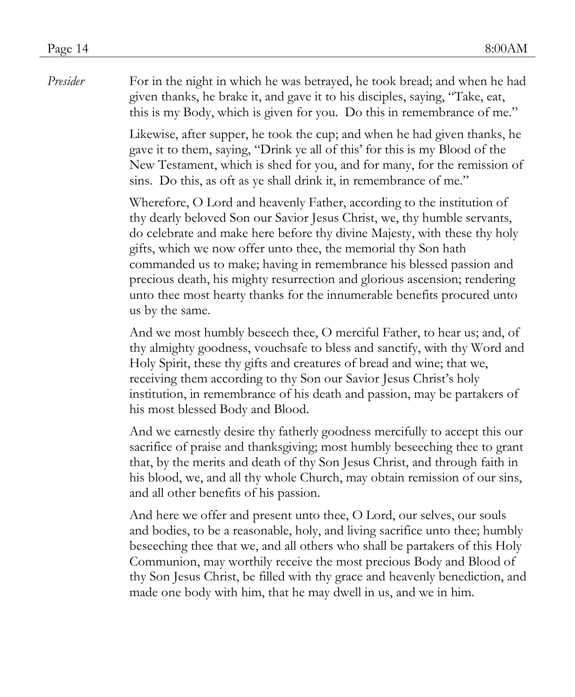*Presider* For in the night in which he was betrayed, he took bread; and when he had given thanks, he brake it, and gave it to his disciples, saying, "Take, eat, this is my Body, which is given for you. Do this in remembrance of me."

> Likewise, after supper, he took the cup; and when he had given thanks, he gave it to them, saying, "Drink ye all of this' for this is my Blood of the New Testament, which is shed for you, and for many, for the remission of sins. Do this, as oft as ye shall drink it, in remembrance of me."

Wherefore, O Lord and heavenly Father, according to the institution of thy dearly beloved Son our Savior Jesus Christ, we, thy humble servants, do celebrate and make here before thy divine Majesty, with these thy holy gifts, which we now offer unto thee, the memorial thy Son hath commanded us to make; having in remembrance his blessed passion and precious death, his mighty resurrection and glorious ascension; rendering unto thee most hearty thanks for the innumerable benefits procured unto us by the same.

And we most humbly beseech thee, O merciful Father, to hear us; and, of thy almighty goodness, vouchsafe to bless and sanctify, with thy Word and Holy Spirit, these thy gifts and creatures of bread and wine; that we, receiving them according to thy Son our Savior Jesus Christ's holy institution, in remembrance of his death and passion, may be partakers of his most blessed Body and Blood.

And we earnestly desire thy fatherly goodness mercifully to accept this our sacrifice of praise and thanksgiving; most humbly beseeching thee to grant that, by the merits and death of thy Son Jesus Christ, and through faith in his blood, we, and all thy whole Church, may obtain remission of our sins, and all other benefits of his passion.

And here we offer and present unto thee, O Lord, our selves, our souls and bodies, to be a reasonable, holy, and living sacrifice unto thee; humbly beseeching thee that we, and all others who shall be partakers of this Holy Communion, may worthily receive the most precious Body and Blood of thy Son Jesus Christ, be filled with thy grace and heavenly benediction, and made one body with him, that he may dwell in us, and we in him.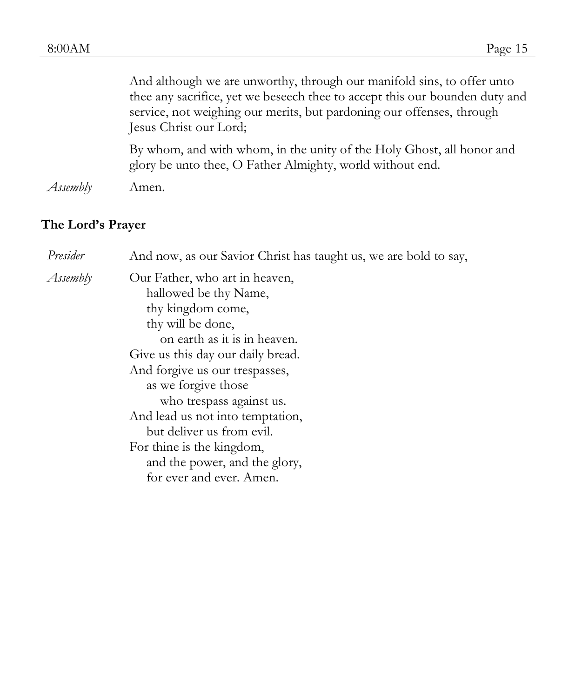|          | And although we are unworthy, through our manifold sins, to offer unto<br>thee any sacrifice, yet we beseech thee to accept this our bounden duty and<br>service, not weighing our merits, but pardoning our offenses, through<br>Jesus Christ our Lord; |
|----------|----------------------------------------------------------------------------------------------------------------------------------------------------------------------------------------------------------------------------------------------------------|
|          | By whom, and with whom, in the unity of the Holy Ghost, all honor and<br>glory be unto thee, O Father Almighty, world without end.                                                                                                                       |
| Assembly | Amen.                                                                                                                                                                                                                                                    |

### **The Lord's Prayer**

| Presider | And now, as our Savior Christ has taught us, we are bold to say,                                                                                                                                                                                                                                                                                                                                                       |
|----------|------------------------------------------------------------------------------------------------------------------------------------------------------------------------------------------------------------------------------------------------------------------------------------------------------------------------------------------------------------------------------------------------------------------------|
| Assembly | Our Father, who art in heaven,<br>hallowed be thy Name,<br>thy kingdom come,<br>thy will be done,<br>on earth as it is in heaven.<br>Give us this day our daily bread.<br>And forgive us our trespasses,<br>as we forgive those<br>who trespass against us.<br>And lead us not into temptation,<br>but deliver us from evil.<br>For thine is the kingdom,<br>and the power, and the glory,<br>for ever and ever. Amen. |
|          |                                                                                                                                                                                                                                                                                                                                                                                                                        |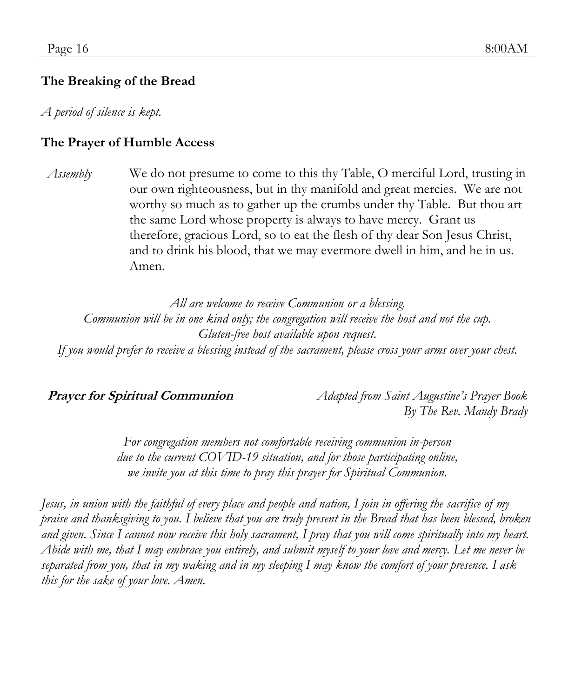#### **The Breaking of the Bread**

*A period of silence is kept.*

#### **The Prayer of Humble Access**

*Assembly* We do not presume to come to this thy Table, O merciful Lord, trusting in our own righteousness, but in thy manifold and great mercies. We are not worthy so much as to gather up the crumbs under thy Table. But thou art the same Lord whose property is always to have mercy. Grant us therefore, gracious Lord, so to eat the flesh of thy dear Son Jesus Christ, and to drink his blood, that we may evermore dwell in him, and he in us. Amen.

*All are welcome to receive Communion or a blessing. Communion will be in one kind only; the congregation will receive the host and not the cup. Gluten-free host available upon request. If you would prefer to receive a blessing instead of the sacrament, please cross your arms over your chest.*

**Prayer for Spiritual Communion** *Adapted from Saint Augustine's Prayer Book By The Rev. Mandy Brady*

> *For congregation members not comfortable receiving communion in-person due to the current COVID-19 situation, and for those participating online, we invite you at this time to pray this prayer for Spiritual Communion.*

*Jesus, in union with the faithful of every place and people and nation, I join in offering the sacrifice of my praise and thanksgiving to you. I believe that you are truly present in the Bread that has been blessed, broken*  and given. Since I cannot now receive this holy sacrament, I pray that you will come spiritually into my heart. *Abide with me, that I may embrace you entirely, and submit myself to your love and mercy. Let me never be separated from you, that in my waking and in my sleeping I may know the comfort of your presence. I ask this for the sake of your love. Amen.*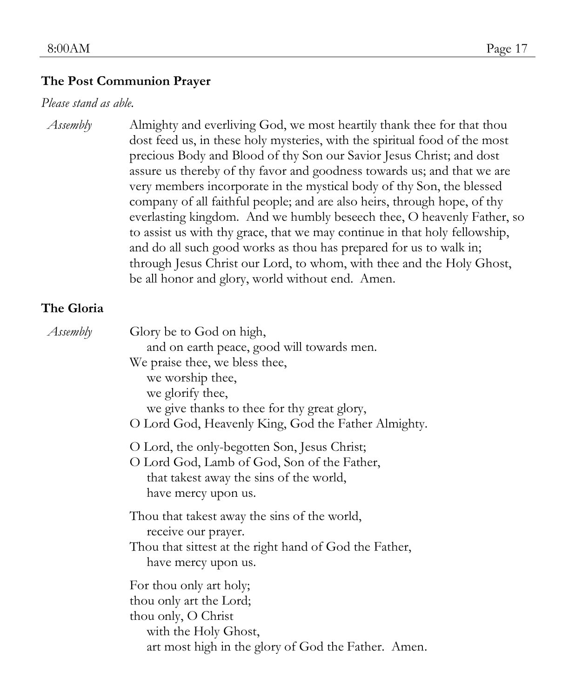#### **The Post Communion Prayer**

#### *Please stand as able.*

*Assembly* Almighty and everliving God, we most heartily thank thee for that thou dost feed us, in these holy mysteries, with the spiritual food of the most precious Body and Blood of thy Son our Savior Jesus Christ; and dost assure us thereby of thy favor and goodness towards us; and that we are very members incorporate in the mystical body of thy Son, the blessed company of all faithful people; and are also heirs, through hope, of thy everlasting kingdom. And we humbly beseech thee, O heavenly Father, so to assist us with thy grace, that we may continue in that holy fellowship, and do all such good works as thou has prepared for us to walk in; through Jesus Christ our Lord, to whom, with thee and the Holy Ghost, be all honor and glory, world without end. Amen.

#### **The Gloria**

| Assembly | Glory be to God on high,                                                                                                                                      |
|----------|---------------------------------------------------------------------------------------------------------------------------------------------------------------|
|          | and on earth peace, good will towards men.<br>We praise thee, we bless thee,<br>we worship thee,                                                              |
|          | we glorify thee,<br>we give thanks to thee for thy great glory,<br>O Lord God, Heavenly King, God the Father Almighty.                                        |
|          | O Lord, the only-begotten Son, Jesus Christ;<br>O Lord God, Lamb of God, Son of the Father,<br>that takest away the sins of the world,<br>have mercy upon us. |
|          | Thou that takest away the sins of the world,<br>receive our prayer.<br>Thou that sittest at the right hand of God the Father,<br>have mercy upon us.          |
|          | For thou only art holy;<br>thou only art the Lord;<br>thou only, O Christ<br>with the Holy Ghost,<br>art most high in the glory of God the Father. Amen.      |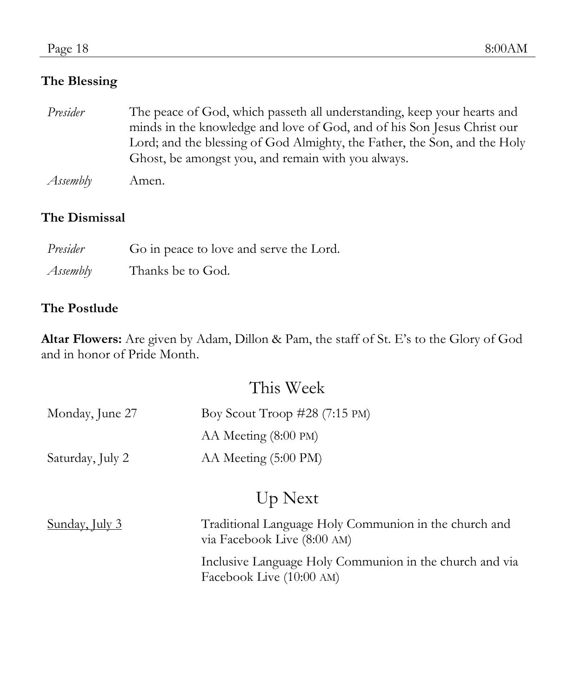#### **The Blessing**

- *Presider* The peace of God, which passeth all understanding, keep your hearts and minds in the knowledge and love of God, and of his Son Jesus Christ our Lord; and the blessing of God Almighty, the Father, the Son, and the Holy Ghost, be amongst you, and remain with you always.
- *Assembly* Amen.

#### **The Dismissal**

| Presider | Go in peace to love and serve the Lord. |
|----------|-----------------------------------------|
| Assembly | Thanks be to God.                       |

#### **The Postlude**

**Altar Flowers:** Are given by Adam, Dillon & Pam, the staff of St. E's to the Glory of God and in honor of Pride Month.

## This Week

| Monday, June 27  | Boy Scout Troop $\#28$ (7:15 PM) |
|------------------|----------------------------------|
|                  | AA Meeting (8:00 PM)             |
| Saturday, July 2 | AA Meeting (5:00 PM)             |

## Up Next

| <u>Sunday, July 3</u> | Traditional Language Holy Communion in the church and<br>via Facebook Live (8:00 AM) |
|-----------------------|--------------------------------------------------------------------------------------|
|                       | Inclusive Language Holy Communion in the church and via<br>Facebook Live (10:00 AM)  |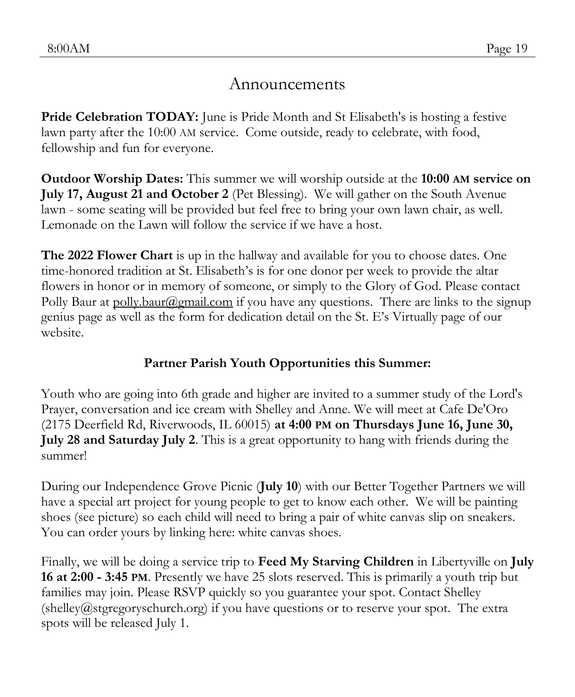## Announcements

**Pride Celebration TODAY:** June is Pride Month and St Elisabeth's is hosting a festive lawn party after the 10:00 AM service. Come outside, ready to celebrate, with food, fellowship and fun for everyone.

**Outdoor Worship Dates:** This summer we will worship outside at the **10:00 AM service on July 17, August 21 and October 2** (Pet Blessing). We will gather on the South Avenue lawn - some seating will be provided but feel free to bring your own lawn chair, as well. Lemonade on the Lawn will follow the service if we have a host.

**The 2022 Flower Chart** is up in the hallway and available for you to choose dates. One time-honored tradition at St. Elisabeth's is for one donor per week to provide the altar flowers in honor or in memory of someone, or simply to the Glory of God. Please contact Polly Baur at polly.baur@gmail.com if you have any questions. There are links to the signup genius page as well as the form for dedication detail on the St. E's Virtually page of our website.

### **Partner Parish Youth Opportunities this Summer:**

Youth who are going into 6th grade and higher are invited to a summer study of the Lord's Prayer, conversation and ice cream with Shelley and Anne. We will meet at Cafe De'Oro (2175 Deerfield Rd, Riverwoods, IL 60015) **at 4:00 PM on Thursdays June 16, June 30, July 28 and Saturday July 2**. This is a great opportunity to hang with friends during the summer!

During our Independence Grove Picnic (**July 10**) with our Better Together Partners we will have a special art project for young people to get to know each other. We will be painting shoes (see picture) so each child will need to bring a pair of white canvas slip on sneakers. You can order yours by linking here: white canvas shoes.

Finally, we will be doing a service trip to **Feed My Starving Children** in Libertyville on **July 16 at 2:00 - 3:45 PM**. Presently we have 25 slots reserved. This is primarily a youth trip but families may join. Please RSVP quickly so you guarantee your spot. Contact Shelley (shelley@stgregoryschurch.org) if you have questions or to reserve your spot. The extra spots will be released July 1.